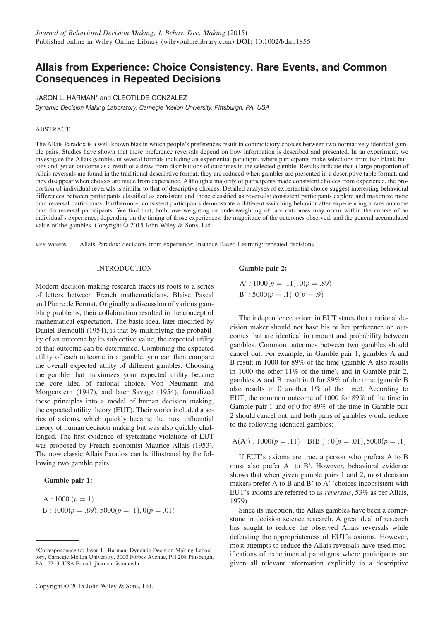# Allais from Experience: Choice Consistency, Rare Events, and Common Consequences in Repeated Decisions

JASON L. HARMAN\* and CLEOTILDE GONZALEZ

Dynamic Decision Making Laboratory, Carnegie Mellon University, Pittsburgh, PA, USA

#### ABSTRACT

The Allais Paradox is a well-known bias in which people's preferences result in contradictory choices between two normatively identical gamble pairs. Studies have shown that these preference reversals depend on how information is described and presented. In an experiment, we investigate the Allais gambles in several formats including an experiential paradigm, where participants make selections from two blank buttons and get an outcome as a result of a draw from distributions of outcomes in the selected gamble. Results indicate that a large proportion of Allais reversals are found in the traditional descriptive format, they are reduced when gambles are presented in a descriptive table format, and they disappear when choices are made from experience. Although a majority of participants made consistent choices from experience, the proportion of individual reversals is similar to that of descriptive choices. Detailed analyses of experiential choice suggest interesting behavioral differences between participants classified as consistent and those classified as reversals: consistent participants explore and maximize more than reversal participants. Furthermore, consistent participants demonstrate a different switching behavior after experiencing a rare outcome than do reversal participants. We find that, both, overweighting or underweighting of rare outcomes may occur within the course of an individual's experience; depending on the timing of those experiences, the magnitude of the outcomes observed, and the general accumulated value of the gambles. Copyright © 2015 John Wiley & Sons, Ltd.

key words Allais Paradox; decisions from experience; Instance-Based Learning; repeated decisions

#### INTRODUCTION

Modern decision making research traces its roots to a series of letters between French mathematicians, Blaise Pascal and Pierre de Fermat. Originally a discussion of various gambling problems, their collaboration resulted in the concept of mathematical expectation. The basic idea, later modified by Daniel Bernoulli (1954), is that by multiplying the probability of an outcome by its subjective value, the expected utility of that outcome can be determined. Combining the expected utility of each outcome in a gamble, you can then compare the overall expected utility of different gambles. Choosing the gamble that maximizes your expected utility became the core idea of rational choice. Von Neumann and Morgenstern (1947), and later Savage (1954), formalized these principles into a model of human decision making, the expected utility theory (EUT). Their works included a series of axioms, which quickly became the most influential theory of human decision making but was also quickly challenged. The first evidence of systematic violations of EUT was proposed by French economist Maurice Allais (1953). The now classic Allais Paradox can be illustrated by the following two gamble pairs:

# Gamble pair 1:

A : 1000 
$$
(p = 1)
$$
  
B : 1000 $(p = .89)$ , 5000 $(p = .1)$ , 0 $(p = .01)$ 

#### Gamble pair 2:

A' : 
$$
1000(p = .11), 0(p = .89)
$$
  
B' :  $5000(p = .1), 0(p = .9)$ 

The independence axiom in EUT states that a rational decision maker should not base his or her preference on outcomes that are identical in amount and probability between gambles. Common outcomes between two gambles should cancel out. For example, in Gamble pair 1, gambles A and B result in 1000 for 89% of the time (gamble A also results in 1000 the other 11% of the time), and in Gamble pair 2, gambles A and B result in 0 for 89% of the time (gamble B also results in 0 another 1% of the time). According to EUT, the common outcome of 1000 for 89% of the time in Gamble pair 1 and of 0 for 89% of the time in Gamble pair 2 should cancel out, and both pairs of gambles would reduce to the following identical gambles:

$$
A(A') : 1000(p=.11) \quad B(B') : 0(p=.01), 5000(p=.1)
$$

If EUT's axioms are true, a person who prefers A to B must also prefer A′ to B′. However, behavioral evidence shows that when given gamble pairs 1 and 2, most decision makers prefer A to B and B′ to A′ (choices inconsistent with EUT's axioms are referred to as reversals, 53% as per Allais, 1979).

Since its inception, the Allais gambles have been a cornerstone in decision science research. A great deal of research has sought to reduce the observed Allais reversals while defending the appropriateness of EUT's axioms. However, most attempts to reduce the Allais reversals have used modifications of experimental paradigms where participants are given all relevant information explicitly in a descriptive

<sup>\*</sup>Correspondence to: Jason L. Harman, Dynamic Decision Making Laboratory, Carnegie Mellon University, 5000 Forbes Avenue, PH 208 Pittsburgh, PA 15213, USA.E-mail: jharman@cmu.edu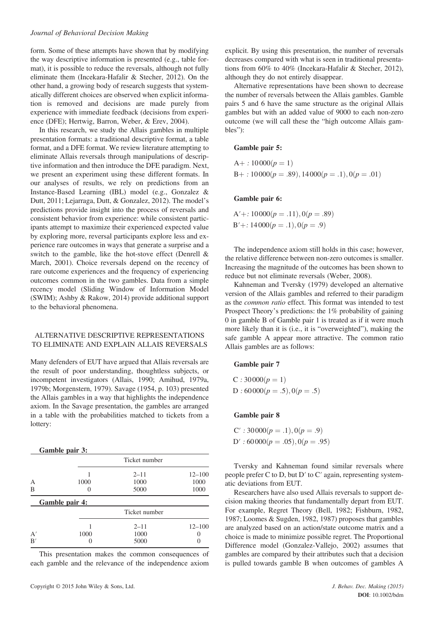### Journal of Behavioral Decision Making

form. Some of these attempts have shown that by modifying the way descriptive information is presented (e.g., table format), it is possible to reduce the reversals, although not fully eliminate them (Incekara-Hafalir & Stecher, 2012). On the other hand, a growing body of research suggests that systematically different choices are observed when explicit information is removed and decisions are made purely from experience with immediate feedback (decisions from experience (DFE); Hertwig, Barron, Weber, & Erev, 2004).

In this research, we study the Allais gambles in multiple presentation formats: a traditional descriptive format, a table format, and a DFE format. We review literature attempting to eliminate Allais reversals through manipulations of descriptive information and then introduce the DFE paradigm. Next, we present an experiment using these different formats. In our analyses of results, we rely on predictions from an Instance-Based Learning (IBL) model (e.g., Gonzalez & Dutt, 2011; Lejarraga, Dutt, & Gonzalez, 2012). The model's predictions provide insight into the process of reversals and consistent behavior from experience: while consistent participants attempt to maximize their experienced expected value by exploring more, reversal participants explore less and experience rare outcomes in ways that generate a surprise and a switch to the gamble, like the hot-stove effect (Denrell & March, 2001). Choice reversals depend on the recency of rare outcome experiences and the frequency of experiencing outcomes common in the two gambles. Data from a simple recency model (Sliding Window of Information Model (SWIM); Ashby & Rakow, 2014) provide additional support to the behavioral phenomena.

# ALTERNATIVE DESCRIPTIVE REPRESENTATIONS TO ELIMINATE AND EXPLAIN ALLAIS REVERSALS

Many defenders of EUT have argued that Allais reversals are the result of poor understanding, thoughtless subjects, or incompetent investigators (Allais, 1990; Amihud, 1979a, 1979b; Morgenstern, 1979). Savage (1954, p. 103) presented the Allais gambles in a way that highlights the independence axiom. In the Savage presentation, the gambles are arranged in a table with the probabilities matched to tickets from a lottery:

|    | Gamble pair 3: |               |            |
|----|----------------|---------------|------------|
|    |                | Ticket number |            |
|    |                | $2 - 11$      | $12 - 100$ |
| A  | 1000           | 1000          | 1000       |
| B  |                | 5000          | 1000       |
|    | Gamble pair 4: |               |            |
|    |                | Ticket number |            |
|    |                | $2 - 11$      | $12 - 100$ |
| A' | 1000           | 1000          |            |
| B' |                | 5000          |            |

This presentation makes the common consequences of each gamble and the relevance of the independence axiom

explicit. By using this presentation, the number of reversals decreases compared with what is seen in traditional presentations from 60% to 40% (Incekara-Hafalir & Stecher, 2012), although they do not entirely disappear.

Alternative representations have been shown to decrease the number of reversals between the Allais gambles. Gamble pairs 5 and 6 have the same structure as the original Allais gambles but with an added value of 9000 to each non-zero outcome (we will call these the "high outcome Allais gambles"):

### Gamble pair 5:

 $A+$ : 10 000 $(p = 1)$  $B_+$ : 10 000 $(p = .89)$ , 14 000 $(p = .1)$ , 0 $(p = .01)$ 

# Gamble pair 6:

A'+: 
$$
10000(p = .11), 0(p = .89)
$$
  
B'+:  $14000(p = .1), 0(p = .9)$ 

The independence axiom still holds in this case; however, the relative difference between non-zero outcomes is smaller. Increasing the magnitude of the outcomes has been shown to reduce but not eliminate reversals (Weber, 2008).

Kahneman and Tversky (1979) developed an alternative version of the Allais gambles and referred to their paradigm as the common ratio effect. This format was intended to test Prospect Theory's predictions: the 1% probability of gaining 0 in gamble B of Gamble pair 1 is treated as if it were much more likely than it is (i.e., it is "overweighted"), making the safe gamble A appear more attractive. The common ratio Allais gambles are as follows:

### Gamble pair 7

C: 
$$
30000(p = 1)
$$
  
D:  $60000(p = .5), 0(p = .5)$ 

### Gamble pair 8

C' : 
$$
30000(p = .1), 0(p = .9)
$$
  
D' :  $60000(p = .05), 0(p = .95)$ 

Tversky and Kahneman found similar reversals where people prefer C to D, but D′ to C′ again, representing systematic deviations from EUT.

Researchers have also used Allais reversals to support decision making theories that fundamentally depart from EUT. For example, Regret Theory (Bell, 1982; Fishburn, 1982, 1987; Loomes & Sugden, 1982, 1987) proposes that gambles are analyzed based on an action/state outcome matrix and a choice is made to minimize possible regret. The Proportional Difference model (Gonzalez-Vallejo, 2002) assumes that gambles are compared by their attributes such that a decision is pulled towards gamble B when outcomes of gambles A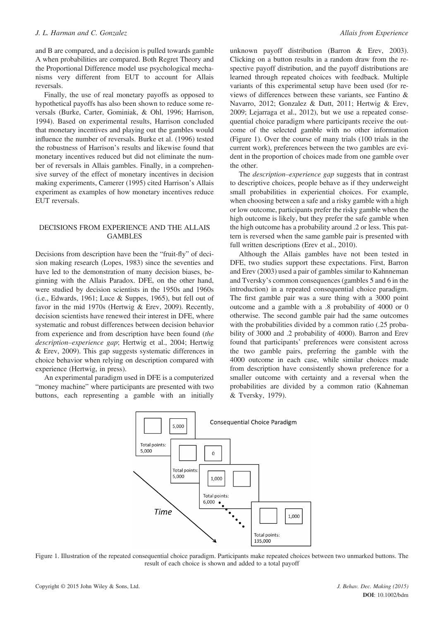and B are compared, and a decision is pulled towards gamble A when probabilities are compared. Both Regret Theory and the Proportional Difference model use psychological mechanisms very different from EUT to account for Allais reversals.

Finally, the use of real monetary payoffs as opposed to hypothetical payoffs has also been shown to reduce some reversals (Burke, Carter, Gominiak, & Ohl, 1996; Harrison, 1994). Based on experimental results, Harrison concluded that monetary incentives and playing out the gambles would influence the number of reversals. Burke et al. (1996) tested the robustness of Harrison's results and likewise found that monetary incentives reduced but did not eliminate the number of reversals in Allais gambles. Finally, in a comprehensive survey of the effect of monetary incentives in decision making experiments, Camerer (1995) cited Harrison's Allais experiment as examples of how monetary incentives reduce EUT reversals.

# DECISIONS FROM EXPERIENCE AND THE ALLAIS **GAMBLES**

Decisions from description have been the "fruit-fly" of decision making research (Lopes, 1983) since the seventies and have led to the demonstration of many decision biases, beginning with the Allais Paradox. DFE, on the other hand, were studied by decision scientists in the 1950s and 1960s (i.e., Edwards, 1961; Luce & Suppes, 1965), but fell out of favor in the mid 1970s (Hertwig & Erev, 2009). Recently, decision scientists have renewed their interest in DFE, where systematic and robust differences between decision behavior from experience and from description have been found (the description–experience gap; Hertwig et al., 2004; Hertwig & Erev, 2009). This gap suggests systematic differences in choice behavior when relying on description compared with experience (Hertwig, in press).

An experimental paradigm used in DFE is a computerized "money machine" where participants are presented with two buttons, each representing a gamble with an initially unknown payoff distribution (Barron & Erev, 2003). Clicking on a button results in a random draw from the respective payoff distribution, and the payoff distributions are learned through repeated choices with feedback. Multiple variants of this experimental setup have been used (for reviews of differences between these variants, see Fantino & Navarro, 2012; Gonzalez & Dutt, 2011; Hertwig & Erev, 2009; Lejarraga et al., 2012), but we use a repeated consequential choice paradigm where participants receive the outcome of the selected gamble with no other information (Figure 1). Over the course of many trials (100 trials in the current work), preferences between the two gambles are evident in the proportion of choices made from one gamble over the other.

The description–experience gap suggests that in contrast to descriptive choices, people behave as if they underweight small probabilities in experiential choices. For example, when choosing between a safe and a risky gamble with a high or low outcome, participants prefer the risky gamble when the high outcome is likely, but they prefer the safe gamble when the high outcome has a probability around .2 or less. This pattern is reversed when the same gamble pair is presented with full written descriptions (Erev et al., 2010).

Although the Allais gambles have not been tested in DFE, two studies support these expectations. First, Barron and Erev (2003) used a pair of gambles similar to Kahnneman and Tversky's common consequences (gambles 5 and 6 in the introduction) in a repeated consequential choice paradigm. The first gamble pair was a sure thing with a 3000 point outcome and a gamble with a .8 probability of 4000 or 0 otherwise. The second gamble pair had the same outcomes with the probabilities divided by a common ratio (.25 probability of 3000 and .2 probability of 4000). Barron and Erev found that participants' preferences were consistent across the two gamble pairs, preferring the gamble with the 4000 outcome in each case, while similar choices made from description have consistently shown preference for a smaller outcome with certainty and a reversal when the probabilities are divided by a common ratio (Kahneman & Tversky, 1979).



Figure 1. Illustration of the repeated consequential choice paradigm. Participants make repeated choices between two unmarked buttons. The result of each choice is shown and added to a total payoff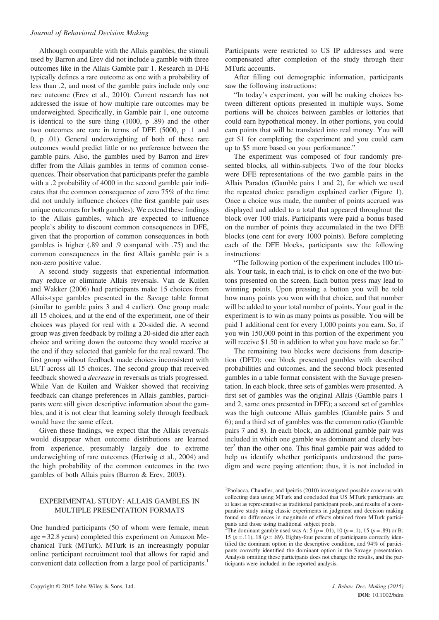### Journal of Behavioral Decision Making

Although comparable with the Allais gambles, the stimuli used by Barron and Erev did not include a gamble with three outcomes like in the Allais Gamble pair 1. Research in DFE typically defines a rare outcome as one with a probability of less than .2, and most of the gamble pairs include only one rare outcome (Erev et al., 2010). Current research has not addressed the issue of how multiple rare outcomes may be underweighted. Specifically, in Gamble pair 1, one outcome is identical to the sure thing (1000, p .89) and the other two outcomes are rare in terms of DFE (5000, p .1 and 0, p .01). General underweighting of both of these rare outcomes would predict little or no preference between the gamble pairs. Also, the gambles used by Barron and Erev differ from the Allais gambles in terms of common consequences. Their observation that participants prefer the gamble with a .2 probability of 4000 in the second gamble pair indicates that the common consequence of zero 75% of the time did not unduly influence choices (the first gamble pair uses unique outcomes for both gambles). We extend these findings to the Allais gambles, which are expected to influence people's ability to discount common consequences in DFE, given that the proportion of common consequences in both gambles is higher (.89 and .9 compared with .75) and the common consequences in the first Allais gamble pair is a non-zero positive value.

A second study suggests that experiential information may reduce or eliminate Allais reversals. Van de Kuilen and Wakker (2006) had participants make 15 choices from Allais-type gambles presented in the Savage table format (similar to gamble pairs 3 and 4 earlier). One group made all 15 choices, and at the end of the experiment, one of their choices was played for real with a 20-sided die. A second group was given feedback by rolling a 20-sided die after each choice and writing down the outcome they would receive at the end if they selected that gamble for the real reward. The first group without feedback made choices inconsistent with EUT across all 15 choices. The second group that received feedback showed a decrease in reversals as trials progressed. While Van de Kuilen and Wakker showed that receiving feedback can change preferences in Allais gambles, participants were still given descriptive information about the gambles, and it is not clear that learning solely through feedback would have the same effect.

Given these findings, we expect that the Allais reversals would disappear when outcome distributions are learned from experience, presumably largely due to extreme underweighting of rare outcomes (Hertwig et al., 2004) and the high probability of the common outcomes in the two gambles of both Allais pairs (Barron & Erev, 2003).

# EXPERIMENTAL STUDY: ALLAIS GAMBLES IN MULTIPLE PRESENTATION FORMATS

Participants were restricted to US IP addresses and were compensated after completion of the study through their MTurk accounts.

After filling out demographic information, participants saw the following instructions:

"In today's experiment, you will be making choices between different options presented in multiple ways. Some portions will be choices between gambles or lotteries that could earn hypothetical money. In other portions, you could earn points that will be translated into real money. You will get \$1 for completing the experiment and you could earn up to \$5 more based on your performance."

The experiment was composed of four randomly presented blocks, all within-subjects. Two of the four blocks were DFE representations of the two gamble pairs in the Allais Paradox (Gamble pairs 1 and 2), for which we used the repeated choice paradigm explained earlier (Figure 1). Once a choice was made, the number of points accrued was displayed and added to a total that appeared throughout the block over 100 trials. Participants were paid a bonus based on the number of points they accumulated in the two DFE blocks (one cent for every 1000 points). Before completing each of the DFE blocks, participants saw the following instructions:

"The following portion of the experiment includes 100 trials. Your task, in each trial, is to click on one of the two buttons presented on the screen. Each button press may lead to winning points. Upon pressing a button you will be told how many points you won with that choice, and that number will be added to your total number of points. Your goal in the experiment is to win as many points as possible. You will be paid 1 additional cent for every 1,000 points you earn. So, if you win 150,000 point in this portion of the experiment you will receive \$1.50 in addition to what you have made so far."

The remaining two blocks were decisions from description (DFD): one block presented gambles with described probabilities and outcomes, and the second block presented gambles in a table format consistent with the Savage presentation. In each block, three sets of gambles were presented. A first set of gambles was the original Allais (Gamble pairs 1 and 2, same ones presented in DFE); a second set of gambles was the high outcome Allais gambles (Gamble pairs 5 and 6); and a third set of gambles was the common ratio (Gamble pairs 7 and 8). In each block, an additional gamble pair was included in which one gamble was dominant and clearly bet $ter<sup>2</sup>$  than the other one. This final gamble pair was added to help us identify whether participants understood the paradigm and were paying attention; thus, it is not included in

One hundred participants (50 of whom were female, mean age = 32.8 years) completed this experiment on Amazon Mechanical Turk (MTurk). MTurk is an increasingly popular online participant recruitment tool that allows for rapid and convenient data collection from a large pool of participants.<sup>1</sup>

<sup>&</sup>lt;sup>1</sup>Paolacca, Chandler, and Ipeirtis (2010) investigated possible concerns with collecting data using MTurk and concluded that US MTurk participants are at least as representative as traditional participant pools, and results of a comparative study using classic experiments in judgment and decision making found no differences in magnitude of effects obtained from MTurk participants and those using traditional subject pools.<br><sup>2</sup>The dominant gamble used was A: 5 ( $p = .01$ ), 10 ( $p = .1$ ), 15 ( $p = .89$ ) or B:

<sup>15 (</sup> $p = .11$ ), 18 ( $p = .89$ ). Eighty-four percent of participants correctly identified the dominant option in the descriptive condition, and 94% of participants correctly identified the dominant option in the Savage presentation. Analysis omitting these participants does not change the results, and the participants were included in the reported analysis.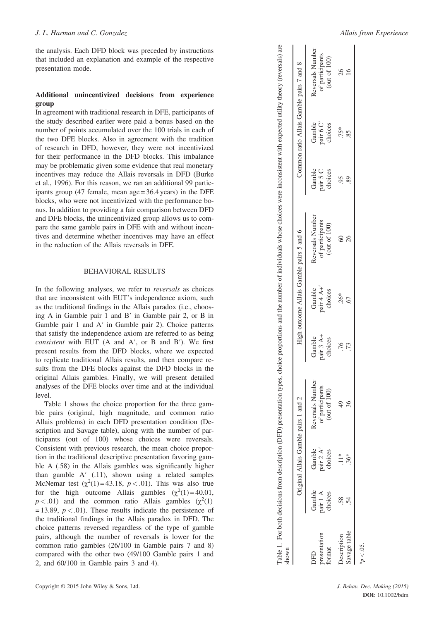the analysis. Each DFD block was preceded by instructions that included an explanation and example of the respective presentation mode.

# Additional unincentivized decisions from experience group

In agreement with traditional research in DFE, participants of the study described earlier were paid a bonus based on the number of points accumulated over the 100 trials in each of the two DFE blocks. Also in agreement with the tradition of research in DFD, however, they were not incentivized for their performance in the DFD blocks. This imbalance may be problematic given some evidence that real monetary incentives may reduce the Allais reversals in DFD (Burke et al., 1996). For this reason, we ran an additional 99 participants group (47 female, mean age  $= 36.4$  years) in the DFE blocks, who were not incentivized with the performance bonus. In addition to providing a fair comparison between DFD and DFE blocks, the unincentivized group allows us to compare the same gamble pairs in DFE with and without incentives and determine whether incentives may have an effect in the reduction of the Allais reversals in DFE.

# BEHAVIORAL RESULTS

In the following analyses, we refer to reversals as choices that are inconsistent with EUT 's independence axiom, such as the traditional findings in the Allais paradox (i.e., choosing A in Gamble pair 1 and B′ in Gamble pair 2, or B in Gamble pair 1 and A' in Gamble pair 2). Choice patterns that satisfy the independence axiom are referred to as being consistent with EUT (A and A', or B and B'). We first present results from the DFD blocks, where we expected to replicate traditional Allais results, and then compare results from the DFE blocks against the DFD blocks in the original Allais gambles. Finally, we will present detailed analyses of the DFE blocks over time and at the individual level.

Table 1 shows the choice proportion for the three gamble pairs (original, high magnitude, and common ratio Allais problems) in each DFD presentation condition (Description and Savage table), along with the number of participants (out of 100) whose choices were reversals. Consistent with previous research, the mean choice proportion in the traditional descriptive presentation favoring gamble A (.58) in the Allais gambles was significantly higher than gamble A ′ (.11), shown using a related samples McNemar test  $(\chi^2(1)=43.18, p<.01)$ . This was also true for the high outcome Allais gambles  $(\chi^2(1) = 40.01,$  $p < .01$ ) and the common ratio Allais gambles ( $\chi^2(1)$ )  $= 13.89, p < .01$ ). These results indicate the persistence of the traditional findings in the Allais paradox in DFD. The choice patterns reversed regardless of the type of gamble pairs, although the number of reversals is lower for the common ratio gambles (26/100 in Gamble pairs 7 and 8) compared with the other two (49/100 Gamble pairs 1 and 2, and 60/100 in Gamble pairs 3 and 4).

|                                                                                | Original Allais Gamble pairs 1 and 2 |                                                     |                                | High outcome Allais Gamble pairs 5 and 6 |                                                                 |                               | Common ratio Allais Gamble pairs 7 and 8 |                                                          |
|--------------------------------------------------------------------------------|--------------------------------------|-----------------------------------------------------|--------------------------------|------------------------------------------|-----------------------------------------------------------------|-------------------------------|------------------------------------------|----------------------------------------------------------|
| Gamble<br>$\gamma$ 1 mir 1 A<br>choices<br>resentation<br>primat<br><b>JFD</b> | Gamble<br>pair 2 $A'$<br>choices     | Reversals Number<br>of participants<br>(out of 100) | pair 3 A+<br>Gamble<br>choices | pair 4 $A+$<br>Gamble<br>choices         | <b>Reversals Number</b><br>of participants<br>$($ out of $100)$ | Gamble<br>D S cinc<br>choices | pair 6 C'<br>choices<br>Gamble           | Reversals Number<br>of participants<br>$($ out of $100)$ |

 $\leq$  .05.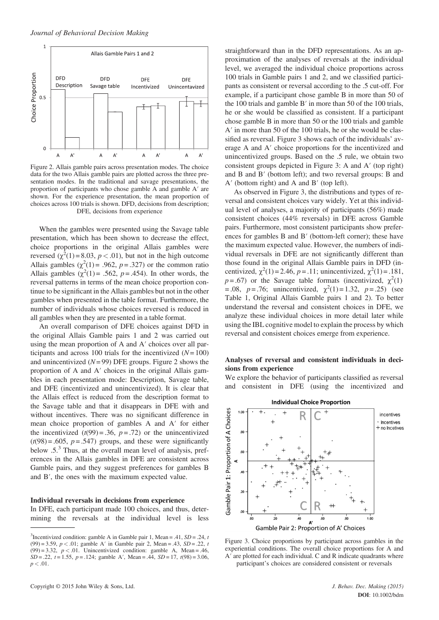

Figure 2. Allais gamble pairs across presentation modes. The choice data for the two Allais gamble pairs are plotted across the three presentation modes. In the traditional and savage presentations, the proportion of participants who chose gamble A and gamble A′ are shown. For the experience presentation, the mean proportion of choices across 100 trials is shown. DFD, decisions from description; DFE, decisions from experience

When the gambles were presented using the Savage table presentation, which has been shown to decrease the effect, choice proportions in the original Allais gambles were reversed  $(\chi^2(1) = 8.03, p < .01)$ , but not in the high outcome Allais gambles  $(\chi^2(1) = .962, p = .327)$  or the common ratio Allais gambles  $(\chi^2(1) = .562, p = .454)$ . In other words, the reversal patterns in terms of the mean choice proportion continue to be significant in the Allais gambles but not in the other gambles when presented in the table format. Furthermore, the number of individuals whose choices reversed is reduced in all gambles when they are presented in a table format.

An overall comparison of DFE choices against DFD in the original Allais Gamble pairs 1 and 2 was carried out using the mean proportion of A and A′ choices over all participants and across 100 trials for the incentivized  $(N= 100)$ and unincentivized  $(N= 99)$  DFE groups. Figure 2 shows the proportion of A and A′ choices in the original Allais gambles in each presentation mode: Description, Savage table, and DFE (incentivized and unincentivized). It is clear that the Allais effect is reduced from the description format to the Savage table and that it disappears in DFE with and without incentives. There was no significant difference in mean choice proportion of gambles A and A′ for either the incentivized  $(t(99) = .36, p = .72)$  or the unincentivized  $(t(98) = .605, p = .547)$  groups, and these were significantly below  $.5<sup>3</sup>$ . Thus, at the overall mean level of analysis, preferences in the Allais gambles in DFE are consistent across Gamble pairs, and they suggest preferences for gambles B and B′, the ones with the maximum expected value.

#### Individual reversals in decisions from experience

In DFE, each participant made 100 choices, and thus, determining the reversals at the individual level is less

<sup>3</sup>Incentivized condition: gamble A in Gamble pair 1, Mean = .41,  $SD = .24$ , t (99) = 3.59,  $p < .01$ ; gamble A' in Gamble pair 2, Mean = .43,  $SD = .22$ , t  $(99) = 3.32, p < 0.01$ . Unincentivized condition: gamble A, Mean = .46,  $SD = .22$ ,  $t = 1.55$ ,  $p = .124$ ; gamble A', Mean = .44,  $SD = 17$ ,  $t(98) = 3.06$ ,  $p < .01$ .

straightforward than in the DFD representations. As an approximation of the analyses of reversals at the individual level, we averaged the individual choice proportions across 100 trials in Gamble pairs 1 and 2, and we classified participants as consistent or reversal according to the .5 cut-off. For example, if a participant chose gamble B in more than 50 of the 100 trials and gamble B′ in more than 50 of the 100 trials, he or she would be classified as consistent. If a participant chose gamble B in more than 50 or the 100 trials and gamble A′ in more than 50 of the 100 trials, he or she would be classified as reversal. Figure 3 shows each of the individuals' average A and A′ choice proportions for the incentivized and unincentivized groups. Based on the .5 rule, we obtain two consistent groups depicted in Figure 3: A and A′ (top right) and B and B′ (bottom left); and two reversal groups: B and A′ (bottom right) and A and B′ (top left).

As observed in Figure 3, the distributions and types of reversal and consistent choices vary widely. Yet at this individual level of analyses, a majority of participants (56%) made consistent choices (44% reversals) in DFE across Gamble pairs. Furthermore, most consistent participants show preferences for gambles B and B′ (bottom-left corner); these have the maximum expected value. However, the numbers of individual reversals in DFE are not significantly different than those found in the original Allais Gamble pairs in DFD (incentivized,  $\chi^2(1) = 2.46$ ,  $p = .11$ ; unincentivized,  $\chi^2(1) = .181$ ,  $p = .67$ ) or the Savage table formats (incentivized,  $\chi^2(1)$  $= .08, p = .76;$  unincentivized,  $\chi^2(1) = 1.32, p = .25$  (see Table 1, Original Allais Gamble pairs 1 and 2). To better understand the reversal and consistent choices in DFE, we analyze these individual choices in more detail later while using the IBL cognitive model to explain the process by which reversal and consistent choices emerge from experience.

# Analyses of reversal and consistent individuals in decisions from experience

We explore the behavior of participants classified as reversal and consistent in DFE (using the incentivized and



Figure 3. Choice proportions by participant across gambles in the experiential conditions. The overall choice proportions for A and A′ are plotted for each individual. C and R indicate quadrants where participant's choices are considered consistent or reversals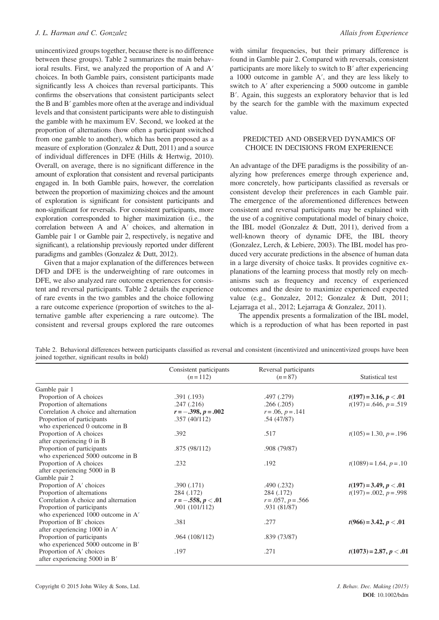unincentivized groups together, because there is no difference between these groups). Table 2 summarizes the main behavioral results. First, we analyzed the proportion of A and A′ choices. In both Gamble pairs, consistent participants made significantly less A choices than reversal participants. This confirms the observations that consistent participants select the B and B′ gambles more often at the average and individual levels and that consistent participants were able to distinguish the gamble with he maximum EV. Second, we looked at the proportion of alternations (how often a participant switched from one gamble to another), which has been proposed as a measure of exploration (Gonzalez & Dutt, 2011) and a source of individual differences in DFE (Hills & Hertwig, 2010). Overall, on average, there is no significant difference in the amount of exploration that consistent and reversal participants engaged in. In both Gamble pairs, however, the correlation between the proportion of maximizing choices and the amount of exploration is significant for consistent participants and non-significant for reversals. For consistent participants, more exploration corresponded to higher maximization (i.e., the correlation between A and A′ choices, and alternation in Gamble pair 1 or Gamble pair 2, respectively, is negative and significant), a relationship previously reported under different paradigms and gambles (Gonzalez & Dutt, 2012).

Given that a major explanation of the differences between DFD and DFE is the underweighting of rare outcomes in DFE, we also analyzed rare outcome experiences for consistent and reversal participants. Table 2 details the experience of rare events in the two gambles and the choice following a rare outcome experience (proportion of switches to the alternative gamble after experiencing a rare outcome). The consistent and reversal groups explored the rare outcomes with similar frequencies, but their primary difference is found in Gamble pair 2. Compared with reversals, consistent participants are more likely to switch to B′ after experiencing a 1000 outcome in gamble A′, and they are less likely to switch to A′ after experiencing a 5000 outcome in gamble B′. Again, this suggests an exploratory behavior that is led by the search for the gamble with the maximum expected value.

# PREDICTED AND OBSERVED DYNAMICS OF CHOICE IN DECISIONS FROM EXPERIENCE

An advantage of the DFE paradigms is the possibility of analyzing how preferences emerge through experience and, more concretely, how participants classified as reversals or consistent develop their preferences in each Gamble pair. The emergence of the aforementioned differences between consistent and reversal participants may be explained with the use of a cognitive computational model of binary choice, the IBL model (Gonzalez & Dutt, 2011), derived from a well-known theory of dynamic DFE, the IBL theory (Gonzalez, Lerch, & Lebiere, 2003). The IBL model has produced very accurate predictions in the absence of human data in a large diversity of choice tasks. It provides cognitive explanations of the learning process that mostly rely on mechanisms such as frequency and recency of experienced outcomes and the desire to maximize experienced expected value (e.g., Gonzalez, 2012; Gonzalez & Dutt, 2011; Lejarraga et al., 2012; Lejarraga & Gonzalez, 2011).

The appendix presents a formalization of the IBL model, which is a reproduction of what has been reported in past

Table 2. Behavioral differences between participants classified as reversal and consistent (incentivized and unincentivized groups have been joined together, significant results in bold)

|                                      | Consistent participants<br>$(n=112)$ | Reversal participants<br>$(n=87)$ | Statistical test          |
|--------------------------------------|--------------------------------------|-----------------------------------|---------------------------|
| Gamble pair 1                        |                                      |                                   |                           |
| Proportion of A choices              | .391(.193)                           | .497(.279)                        | $t(197) = 3.16, p < 0.01$ |
| Proportion of alternations           | .247(.216)                           | .266(.205)                        | $t(197) = .646, p = .519$ |
| Correlation A choice and alternation | $r = -.398, p = .002$                | $r = .06, p = .141$               |                           |
| Proportion of participants           | .357(40/112)                         | .54(47/87)                        |                           |
| who experienced 0 outcome in B       |                                      |                                   |                           |
| Proportion of A choices              | .392                                 | .517                              | $t(105) = 1.30, p = .196$ |
| after experiencing 0 in B            |                                      |                                   |                           |
| Proportion of participants           | .875(98/112)                         | .908(79/87)                       |                           |
| who experienced 5000 outcome in B    |                                      |                                   |                           |
| Proportion of A choices              | .232                                 | .192                              | $t(1089) = 1.64, p = .10$ |
| after experiencing 5000 in B         |                                      |                                   |                           |
| Gamble pair 2                        |                                      |                                   |                           |
| Proportion of A' choices             | .390(.171)                           | .490(.232)                        | $t(197) = 3.49, p < .01$  |
| Proportion of alternations           | 284 (.172)                           | 284 (.172)                        | $t(197) = .002, p = .998$ |
| Correlation A choice and alternation | $r = -.558, p < .01$                 | $r = .057, p = .566$              |                           |
| Proportion of participants           | .901(101/112)                        | .931(81/87)                       |                           |
| who experienced 1000 outcome in A'   |                                      |                                   |                           |
| Proportion of B' choices             | .381                                 | .277                              | $t(966) = 3.42, p < .01$  |
| after experiencing 1000 in A'        |                                      |                                   |                           |
| Proportion of participants           | .964(108/112)                        | .839 (73/87)                      |                           |
| who experienced 5000 outcome in B'   |                                      |                                   |                           |
| Proportion of A' choices             | .197                                 | .271                              | $t(1073) = 2.87, p < .01$ |
| after experiencing 5000 in B'        |                                      |                                   |                           |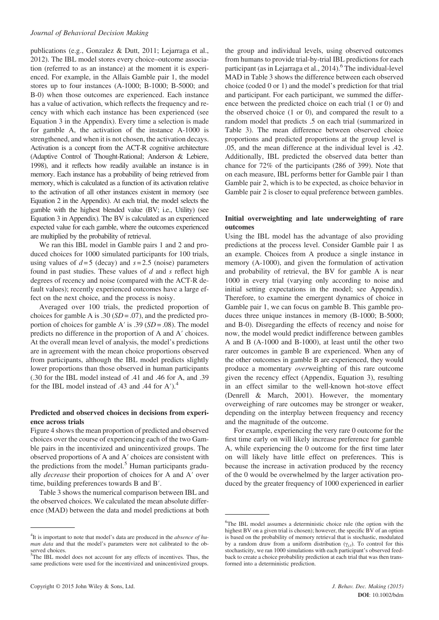publications (e.g., Gonzalez & Dutt, 2011; Lejarraga et al., 2012). The IBL model stores every choice–outcome association (referred to as an instance) at the moment it is experienced. For example, in the Allais Gamble pair 1, the model stores up to four instances (A-1000; B-1000; B-5000; and B-0) when those outcomes are experienced. Each instance has a value of activation, which reflects the frequency and recency with which each instance has been experienced (see Equation 3 in the Appendix). Every time a selection is made for gamble A, the activation of the instance A-1000 is strengthened, and when it is not chosen, the activation decays. Activation is a concept from the ACT-R cognitive architecture (Adaptive Control of Thought-Rational; Anderson & Lebiere, 1998), and it reflects how readily available an instance is in memory. Each instance has a probability of being retrieved from memory, which is calculated as a function of its activation relative to the activation of all other instances existent in memory (see Equation 2 in the Appendix). At each trial, the model selects the gamble with the highest blended value (BV; i.e., Utility) (see Equation 3 in Appendix). The BV is calculated as an experienced expected value for each gamble, where the outcomes experienced are multiplied by the probability of retrieval.

We ran this IBL model in Gamble pairs 1 and 2 and produced choices for 1000 simulated participants for 100 trials, using values of  $d=5$  (decay) and  $s=2.5$  (noise) parameters found in past studies. These values of  $d$  and  $s$  reflect high degrees of recency and noise (compared with the ACT-R default values); recently experienced outcomes have a large effect on the next choice, and the process is noisy.

Averaged over 100 trials, the predicted proportion of choices for gamble A is .30 ( $SD = .07$ ), and the predicted proportion of choices for gamble A' is .39  $(SD = .08)$ . The model predicts no difference in the proportion of A and A′ choices. At the overall mean level of analysis, the model's predictions are in agreement with the mean choice proportions observed from participants, although the IBL model predicts slightly lower proportions than those observed in human participants (.30 for the IBL model instead of .41 and .46 for A, and .39 for the IBL model instead of .43 and .44 for A $^{\prime}$ ).<sup>4</sup>

# Predicted and observed choices in decisions from experience across trials

Figure 4 shows the mean proportion of predicted and observed choices over the course of experiencing each of the two Gamble pairs in the incentivized and unincentivized groups. The observed proportions of A and A′ choices are consistent with the predictions from the model.<sup>5</sup> Human participants gradually decrease their proportion of choices for A and A′ over time, building preferences towards B and B′.

Table 3 shows the numerical comparison between IBL and the observed choices. We calculated the mean absolute difference (MAD) between the data and model predictions at both the group and individual levels, using observed outcomes from humans to provide trial-by-trial IBL predictions for each participant (as in Lejarraga et al.,  $2014$ ).<sup>6</sup> The individual-level MAD in Table 3 shows the difference between each observed choice (coded 0 or 1) and the model's prediction for that trial and participant. For each participant, we summed the difference between the predicted choice on each trial (1 or 0) and the observed choice (1 or 0), and compared the result to a random model that predicts .5 on each trial (summarized in Table 3). The mean difference between observed choice proportions and predicted proportions at the group level is .05, and the mean difference at the individual level is .42. Additionally, IBL predicted the observed data better than chance for 72% of the participants (286 of 399). Note that on each measure, IBL performs better for Gamble pair 1 than Gamble pair 2, which is to be expected, as choice behavior in Gamble pair 2 is closer to equal preference between gambles.

# Initial overweighting and late underweighting of rare outcomes

Using the IBL model has the advantage of also providing predictions at the process level. Consider Gamble pair 1 as an example. Choices from A produce a single instance in memory (A-1000), and given the formulation of activation and probability of retrieval, the BV for gamble A is near 1000 in every trial (varying only according to noise and initial setting expectations in the model; see Appendix). Therefore, to examine the emergent dynamics of choice in Gamble pair 1, we can focus on gamble B. This gamble produces three unique instances in memory (B-1000; B-5000; and B-0). Disregarding the effects of recency and noise for now, the model would predict indifference between gambles A and B (A-1000 and B-1000), at least until the other two rarer outcomes in gamble B are experienced. When any of the other outcomes in gamble B are experienced, they would produce a momentary overweighting of this rare outcome given the recency effect (Appendix, Equation 3), resulting in an effect similar to the well-known hot-stove effect (Denrell & March, 2001). However, the momentary overweighing of rare outcomes may be stronger or weaker, depending on the interplay between frequency and recency and the magnitude of the outcome.

For example, experiencing the very rare 0 outcome for the first time early on will likely increase preference for gamble A, while experiencing the 0 outcome for the first time later on will likely have little effect on preferences. This is because the increase in activation produced by the recency of the 0 would be overwhelmed by the larger activation produced by the greater frequency of 1000 experienced in earlier

<sup>&</sup>lt;sup>4</sup>It is important to note that model's data are produced in the *absence of hu*man data and that the model's parameters were not calibrated to the observed choices.

<sup>&</sup>lt;sup>5</sup>The IBL model does not account for any effects of incentives. Thus, the same predictions were used for the incentivized and unincentivized groups.

<sup>6</sup> The IBL model assumes a deterministic choice rule (the option with the highest BV on a given trial is chosen); however, the specific BV of an option is based on the probability of memory retrieval that is stochastic, modulated by a random draw from a uniform distribution  $(\gamma_{j,t})$ . To control for this stochasticity, we ran 1000 simulations with each participant's observed feedback to create a choice probability prediction at each trial that was then transformed into a deterministic prediction.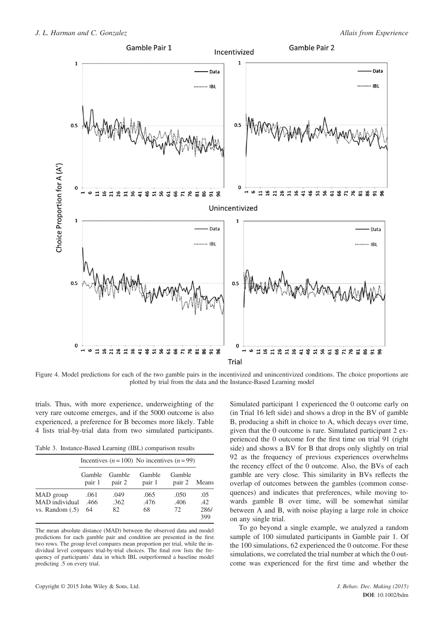

Figure 4. Model predictions for each of the two gamble pairs in the incentivized and unincentivized conditions. The choice proportions are plotted by trial from the data and the Instance-Based Learning model

trials. Thus, with more experience, underweighting of the very rare outcome emerges, and if the 5000 outcome is also experienced, a preference for B becomes more likely. Table 4 lists trial-by-trial data from two simulated participants.

|  |  | Table 3. Instance-Based Learning (IBL) comparison results |  |  |  |  |
|--|--|-----------------------------------------------------------|--|--|--|--|
|--|--|-----------------------------------------------------------|--|--|--|--|

|                   |                  |                  | Incentives $(n = 100)$ No incentives $(n = 99)$ |                  |             |
|-------------------|------------------|------------------|-------------------------------------------------|------------------|-------------|
|                   | Gamble<br>pair 1 | Gamble<br>pair 2 | Gamble<br>pair 1                                | Gamble<br>pair 2 | Means       |
| MAD group         | .061             | .049             | .065                                            | .050             | .05         |
| MAD individual    | .466             | .362             | .476                                            | .406             | .42         |
| vs. Random $(.5)$ | 64               | 82               | 68                                              | 72               | 286/<br>399 |

The mean absolute distance (MAD) between the observed data and model predictions for each gamble pair and condition are presented in the first two rows. The group level compares mean proportion per trial, while the individual level compares trial-by-trial choices. The final row lists the frequency of participants' data in which IBL outperformed a baseline model predicting .5 on every trial.

Simulated participant 1 experienced the 0 outcome early on (in Trial 16 left side) and shows a drop in the BV of gamble B, producing a shift in choice to A, which decays over time, given that the 0 outcome is rare. Simulated participant 2 experienced the 0 outcome for the first time on trial 91 (right side) and shows a BV for B that drops only slightly on trial 92 as the frequency of previous experiences overwhelms the recency effect of the 0 outcome. Also, the BVs of each gamble are very close. This similarity in BVs reflects the overlap of outcomes between the gambles (common consequences) and indicates that preferences, while moving towards gamble B over time, will be somewhat similar between A and B, with noise playing a large role in choice on any single trial.

To go beyond a single example, we analyzed a random sample of 100 simulated participants in Gamble pair 1. Of the 100 simulations, 62 experienced the 0 outcome. For these simulations, we correlated the trial number at which the 0 outcome was experienced for the first time and whether the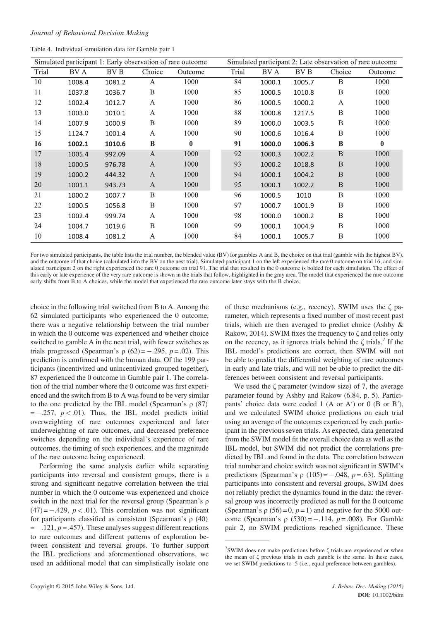| Simulated participant 1: Early observation of rare outcome |        |        | Simulated participant 2: Late observation of rare outcome |              |       |        |        |                  |          |
|------------------------------------------------------------|--------|--------|-----------------------------------------------------------|--------------|-------|--------|--------|------------------|----------|
| Trial                                                      | BV A   | BV B   | Choice                                                    | Outcome      | Trial | BV A   | BV B   | Choice           | Outcome  |
| 10                                                         | 1008.4 | 1081.2 | A                                                         | 1000         | 84    | 1000.1 | 1005.7 | B                | 1000     |
| 11                                                         | 1037.8 | 1036.7 | $\boldsymbol{B}$                                          | 1000         | 85    | 1000.5 | 1010.8 | $\boldsymbol{B}$ | 1000     |
| 12                                                         | 1002.4 | 1012.7 | A                                                         | 1000         | 86    | 1000.5 | 1000.2 | А                | 1000     |
| 13                                                         | 1003.0 | 1010.1 | A                                                         | 1000         | 88    | 1000.8 | 1217.5 | B                | 1000     |
| 14                                                         | 1007.9 | 1000.9 | B                                                         | 1000         | 89    | 1000.0 | 1003.5 | B                | 1000     |
| 15                                                         | 1124.7 | 1001.4 | A                                                         | 1000         | 90    | 1000.6 | 1016.4 | B                | 1000     |
| 16                                                         | 1002.1 | 1010.6 | B                                                         | $\mathbf{0}$ | 91    | 1000.0 | 1006.3 | B                | $\bf{0}$ |
| 17                                                         | 1005.4 | 992.09 | $\mathbf{A}$                                              | 1000         | 92    | 1000.3 | 1002.2 | $\mathbf B$      | 1000     |
| 18                                                         | 1000.5 | 976.78 | A                                                         | 1000         | 93    | 1000.2 | 1018.8 | B                | 1000     |
| 19                                                         | 1000.2 | 444.32 | A                                                         | 1000         | 94    | 1000.1 | 1004.2 | B                | 1000     |
| 20                                                         | 1001.1 | 943.73 | A                                                         | 1000         | 95    | 1000.1 | 1002.2 | B                | 1000     |
| 21                                                         | 1000.2 | 1007.7 | B                                                         | 1000         | 96    | 1000.5 | 1010   | B                | 1000     |
| 22                                                         | 1000.5 | 1056.8 | $\boldsymbol{B}$                                          | 1000         | 97    | 1000.7 | 1001.9 | $\boldsymbol{B}$ | 1000     |
| 23                                                         | 1002.4 | 999.74 | A                                                         | 1000         | 98    | 1000.0 | 1000.2 | B                | 1000     |
| 24                                                         | 1004.7 | 1019.6 | B                                                         | 1000         | 99    | 1000.1 | 1004.9 | B                | 1000     |
| 10                                                         | 1008.4 | 1081.2 | A                                                         | 1000         | 84    | 1000.1 | 1005.7 | B                | 1000     |

Table 4. Individual simulation data for Gamble pair 1

For two simulated participants, the table lists the trial number, the blended value (BV) for gambles A and B, the choice on that trial (gamble with the highest BV), and the outcome of that choice (calculated into the BV on the nest trial). Simulated participant 1 on the left experienced the rare 0 outcome on trial 16, and simulated participant 2 on the right experienced the rare 0 outcome on trial 91. The trial that resulted in the 0 outcome is bolded for each simulation. The effect of this early or late experience of the very rare outcome is shown in the trials that follow, highlighted in the gray area. The model that experienced the rare outcome early shifts from B to A choices, while the model that experienced the rare outcome later stays with the B choice.

choice in the following trial switched from B to A. Among the 62 simulated participants who experienced the 0 outcome, there was a negative relationship between the trial number in which the 0 outcome was experienced and whether choice switched to gamble A in the next trial, with fewer switches as trials progressed (Spearman's  $\rho$  (62) = -.295,  $p = .02$ ). This prediction is confirmed with the human data. Of the 199 parprediction is confirmed with the human data. Of the 199 participants (incentivized and unincentivized grouped together), 87 experienced the 0 outcome in Gamble pair 1. The correlation of the trial number where the 0 outcome was first experienced and the switch from B to A was found to be very similar to the one predicted by the IBL model (Spearman's  $\rho$  (87)  $=-.257, p < .01$ ). Thus, the IBL model predicts initial<br>overweighting of rare outcomes experienced and later overweighting of rare outcomes experienced and later underweighting of rare outcomes, and decreased preference switches depending on the individual's experience of rare outcomes, the timing of such experiences, and the magnitude of the rare outcome being experienced.

Performing the same analysis earlier while separating participants into reversal and consistent groups, there is a strong and significant negative correlation between the trial number in which the 0 outcome was experienced and choice switch in the next trial for the reversal group (Spearman's ρ  $(47) = -.429, p < .01$ . This correlation was not significant<br>for participants classified as consistent (Spearman's  $\rho(A0)$ ) for participants classified as consistent (Spearman's  $\rho$  (40)  $=-.121, p = .457$ . These analyses suggest different reactions<br>to rare outcomes and different patterns of exploration beto rare outcomes and different patterns of exploration between consistent and reversal groups. To further support the IBL predictions and aforementioned observations, we used an additional model that can simplistically isolate one

of these mechanisms (e.g., recency). SWIM uses the ζ parameter, which represents a fixed number of most recent past trials, which are then averaged to predict choice (Ashby & Rakow, 2014). SWIM fixes the frequency to ζ and relies only on the recency, as it ignores trials behind the  $\zeta$  trials.<sup>7</sup> If the IBL model's predictions are correct, then SWIM will not be able to predict the differential weighting of rare outcomes in early and late trials, and will not be able to predict the differences between consistent and reversal participants.

We used the  $\zeta$  parameter (window size) of 7, the average parameter found by Ashby and Rakow (6.84, p. 5). Participants' choice data were coded 1 (A or A′) or 0 (B or B′), and we calculated SWIM choice predictions on each trial using an average of the outcomes experienced by each participant in the previous seven trials. As expected, data generated from the SWIM model fit the overall choice data as well as the IBL model, but SWIM did not predict the correlations predicted by IBL and found in the data. The correlation between trial number and choice switch was not significant in SWIM's predictions (Spearman's  $\rho$  (105) = -.048,  $p = .63$ ). Splitting<br>participants into consistent and reversal groups. SWIM does participants into consistent and reversal groups, SWIM does not reliably predict the dynamics found in the data: the reversal group was incorrectly predicted as null for the 0 outcome (Spearman's  $\rho$  (56) = 0,  $p = 1$ ) and negative for the 5000 outcome (Spearman's  $\rho$  (530) = -.114,  $p = .008$ ). For Gamble<br>pair 2, no SWIM predictions reached significance. These pair 2, no SWIM predictions reached significance. These

<sup>&</sup>lt;sup>7</sup>SWIM does not make predictions before  $\zeta$  trials are experienced or when the mean of ζ previous trials in each gamble is the same. In these cases, we set SWIM predictions to .5 (i.e., equal preference between gambles).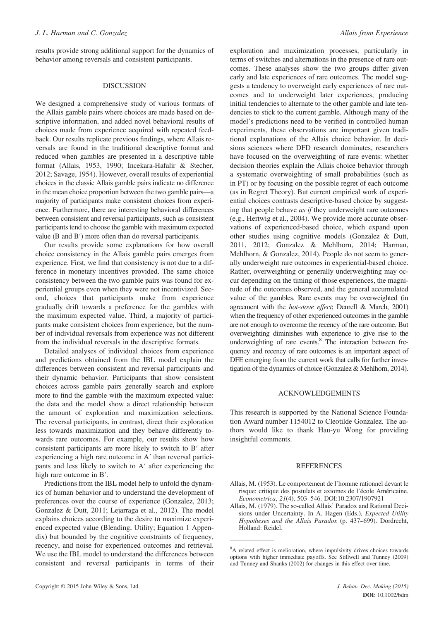results provide strong additional support for the dynamics of behavior among reversals and consistent participants.

### DISCUSSION

We designed a comprehensive study of various formats of the Allais gamble pairs where choices are made based on descriptive information, and added novel behavioral results of choices made from experience acquired with repeated feedback. Our results replicate previous findings, where Allais reversals are found in the traditional descriptive format and reduced when gambles are presented in a descriptive table format (Allais, 1953, 1990; Incekara-Hafalir & Stecher, 2012; Savage, 1954). However, overall results of experiential choices in the classic Allais gamble pairs indicate no difference in the mean choice proportion between the two gamble pairs—a majority of participants make consistent choices from experience. Furthermore, there are interesting behavioral differences between consistent and reversal participants, such as consistent participants tend to choose the gamble with maximum expected value (B and B′) more often than do reversal participants.

Our results provide some explanations for how overall choice consistency in the Allais gamble pairs emerges from experience. First, we find that consistency is not due to a difference in monetary incentives provided. The same choice consistency between the two gamble pairs was found for experiential groups even when they were not incentivized. Second, choices that participants make from experience gradually drift towards a preference for the gambles with the maximum expected value. Third, a majority of participants make consistent choices from experience, but the number of individual reversals from experience was not different from the individual reversals in the descriptive formats.

Detailed analyses of individual choices from experience and predictions obtained from the IBL model explain the differences between consistent and reversal participants and their dynamic behavior. Participants that show consistent choices across gamble pairs generally search and explore more to find the gamble with the maximum expected value: the data and the model show a direct relationship between the amount of exploration and maximization selections. The reversal participants, in contrast, direct their exploration less towards maximization and they behave differently towards rare outcomes. For example, our results show how consistent participants are more likely to switch to B′ after experiencing a high rare outcome in A′ than reversal participants and less likely to switch to A′ after experiencing the high rare outcome in B<sup>'</sup>.

Predictions from the IBL model help to unfold the dynamics of human behavior and to understand the development of preferences over the course of experience (Gonzalez, 2013; Gonzalez & Dutt, 2011; Lejarraga et al., 2012). The model explains choices according to the desire to maximize experienced expected value (Blending, Utility; Equation 1 Appendix) but bounded by the cognitive constraints of frequency, recency, and noise for experienced outcomes and retrieval. We use the IBL model to understand the differences between consistent and reversal participants in terms of their exploration and maximization processes, particularly in terms of switches and alternations in the presence of rare outcomes. These analyses show the two groups differ given early and late experiences of rare outcomes. The model suggests a tendency to overweight early experiences of rare outcomes and to underweight later experiences, producing initial tendencies to alternate to the other gamble and late tendencies to stick to the current gamble. Although many of the model's predictions need to be verified in controlled human experiments, these observations are important given traditional explanations of the Allais choice behavior. In decisions sciences where DFD research dominates, researchers have focused on the overweighting of rare events: whether decision theories explain the Allais choice behavior through a systematic overweighting of small probabilities (such as in PT) or by focusing on the possible regret of each outcome (as in Regret Theory). But current empirical work of experiential choices contrasts descriptive-based choice by suggesting that people behave as if they underweight rare outcomes (e.g., Hertwig et al., 2004). We provide more accurate observations of experienced-based choice, which expand upon other studies using cognitive models (Gonzalez & Dutt, 2011, 2012; Gonzalez & Mehlhorn, 2014; Harman, Mehlhorn, & Gonzalez, 2014). People do not seem to generally underweight rare outcomes in experiential-based choice. Rather, overweighting or generally underweighting may occur depending on the timing of those experiences, the magnitude of the outcomes observed, and the general accumulated value of the gambles. Rare events may be overweighted (in agreement with the hot-stove effect; Denrell & March, 2001) when the frequency of other experienced outcomes in the gamble are not enough to overcome the recency of the rare outcome. But overweighting diminishes with experience to give rise to the underweighting of rare events.<sup>8</sup> The interaction between frequency and recency of rare outcomes is an important aspect of DFE emerging from the current work that calls for further investigation of the dynamics of choice (Gonzalez & Mehlhorn, 2014).

### ACKNOWLEDGEMENTS

This research is supported by the National Science Foundation Award number 1154012 to Cleotilde Gonzalez. The authors would like to thank Hau-yu Wong for providing insightful comments.

### **REFERENCES**

- Allais, M. (1953). Le comportement de l'homme rationnel devant le risque: critique des postulats et axiomes de l'école Américaine. Econometrica, 21(4), 503–546. DOI:10.2307/1907921
- Allais, M. (1979). The so-called Allais' Paradox and Rational Decisions under Uncertainty. In A. Hagen (Eds.), Expected Utility Hypotheses and the Allais Paradox (p. 437–699). Dordrecht, Holland: Reidel.

<sup>&</sup>lt;sup>8</sup>A related effect is melioration, where impulsivity drives choices towards options with higher immediate payoffs. See Stillwell and Tunney (2009) and Tunney and Shanks (2002) for changes in this effect over time.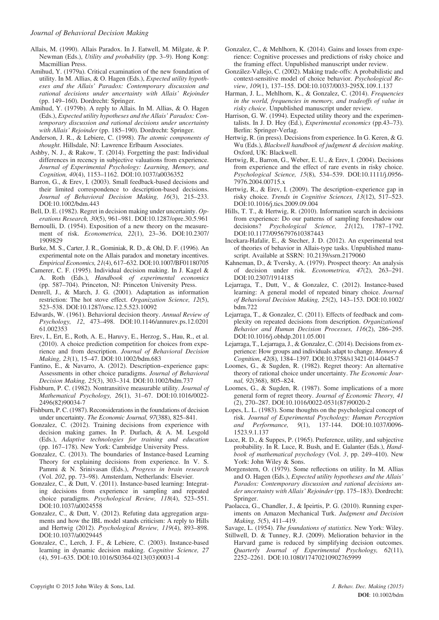- Allais, M. (1990). Allais Paradox. In J. Eatwell, M. Milgate, & P. Newman (Eds.), Utility and probability (pp. 3–9). Hong Kong: Macmillian Press.
- Amihud, Y. (1979a). Critical examination of the new foundation of utility. In M. Allias, & O. Hagen (Eds.), Expected utility hypotheses and the Allais' Paradox: Contemporary discussion and rational decisions under uncertainty with Allais' Rejoinder (pp. 149–160). Dordrecht: Springer.
- Amihud, Y. (1979b). A reply to Allais. In M. Allias, & O. Hagen (Eds.), Expected utility hypotheses and the Allais' Paradox: Contemporary discussion and rational decisions under uncertainty with Allais' Rejoinder (pp. 185–190). Dordrecht: Springer.
- Anderson, J. R., & Lebiere, C. (1998). The atomic components of thought. Hillsdale, NJ: Lawrence Erlbaum Associates.
- Ashby, N. J., & Rakow, T. (2014). Forgetting the past: Individual differences in recency in subjective valuations from experience. Journal of Experimental Psychology: Learning, Memory, and Cognition, 40(4), 1153–1162. DOI:10.1037/a0036352
- Barron, G., & Erev, I. (2003). Small feedback-based decisions and their limited correspondence to description-based decisions. Journal of Behavioral Decision Making, 16(3), 215–233. DOI:10.1002/bdm.443
- Bell, D. E. (1982). Regret in decision making under uncertainty. Operations Research, 30(5), 961–981. DOI:10.1287/opre.30.5.961
- Bernoulli, D. (1954). Exposition of a new theory on the measurement of risk. Econometrica, 22(1), 23–36. DOI:10.2307/ 1909829
- Burke, M. S., Carter, J. R., Gominiak, R. D., & Ohl, D. F. (1996). An experimental note on the Allais paradox and monetary incentives. Empirical Economics, 21(4), 617–632. DOI:10.1007/BF01180705
- Camerer, C. F. (1995). Individual decision making. In J. Kagel & A. Roth (Eds.), Handbook of experimental economics (pp. 587–704). Princeton, NJ: Princeton University Press.
- Denrell, J., & March, J. G. (2001). Adaptation as information restriction: The hot stove effect. Organization Science, 12(5), 523–538. DOI:10.1287/orsc.12.5.523.10092
- Edwards, W. (1961). Behavioral decision theory. Annual Review of Psychology, 12, 473–498. DOI:10.1146/annurev.ps.12.0201 61.002353
- Erev, I., Ert, E., Roth, A. E., Haruvy, E., Herzog, S., Hau, R., et al. (2010). A choice prediction competition for choices from experience and from description. Journal of Behavioral Decision Making, 23(1), 15–47. DOI:10.1002/bdm.683
- Fantino, E., & Navarro, A. (2012). Description–experience gaps: Assessments in other choice paradigms. Journal of Behavioral Decision Making, 25(3), 303–314. DOI:10.1002/bdm.737
- Fishburn, P. C. (1982). Nontransitive measurable utility. Journal of Mathematical Psychology, 26(1), 31–67. DOI:10.1016/0022- 2496(82)90034-7
- Fishburn, P. C. (1987). Reconsiderations in the foundations of decision under uncertainty. The Economic Journal, 97(388), 825–841.
- Gonzalez, C. (2012). Training decisions from experience with decision making games. In P. Durlach, & A. M. Lesgold (Eds.), Adaptive technologies for training and education (pp. 167–178). New York: Cambridge University Press.
- Gonzalez, C. (2013). The boundaries of Instance-based Learning Theory for explaining decisions from experience. In V. S. Pammi & N. Srinivasan (Eds.), Progress in brain research (Vol. 202, pp. 73–98). Amsterdam, Netherlands: Elsevier.
- Gonzalez, C., & Dutt, V. (2011). Instance-based learning: Integrating decisions from experience in sampling and repeated choice paradigms. Psychological Review, 118(4), 523-551. DOI:10.1037/a0024558
- Gonzalez, C., & Dutt, V. (2012). Refuting data aggregation arguments and how the IBL model stands criticism: A reply to Hills and Hertwig (2012). Psychological Review, 119(4), 893–898. DOI:10.1037/a0029445
- Gonzalez, C., Lerch, J. F., & Lebiere, C. (2003). Instance-based learning in dynamic decision making. Cognitive Science, 27 (4), 591–635. DOI:10.1016/S0364-0213(03)00031-4
- Gonzalez, C., & Mehlhorn, K. (2014). Gains and losses from experience: Cognitive processes and predictions of risky choice and the framing effect. Unpublished manuscript under review.
- González-Vallejo, C. (2002). Making trade-offs: A probabilistic and context-sensitive model of choice behavior. Psychological Review, 109(1), 137–155. DOI:10.1037/0033-295X.109.1.137
- Harman, J. L., Mehlhorn, K., & Gonzalez, C. (2014). Frequencies in the world, frequencies in memory, and tradeoffs of value in risky choice. Unpublished manuscript under review.
- Harrison, G. W. (1994). Expected utility theory and the experimentalists. In J. D. Hey (Ed.), Experimental economics (pp.43–73). Berlin: Springer-Verlag.
- Hertwig, R. (in press). Decisions from experience. In G. Keren, & G. Wu (Eds.), Blackwell handbook of judgment & decision making. Oxford, UK: Blackwell.
- Hertwig, R., Barron, G., Weber, E. U., & Erev, I. (2004). Decisions from experience and the effect of rare events in risky choice. Psychological Science, 15(8), 534–539. DOI:10.1111/j.0956- 7976.2004.00715.x
- Hertwig, R., & Erev, I. (2009). The description–experience gap in risky choice. Trends in Cognitive Sciences, 13(12), 517–523. DOI:10.1016/j.tics.2009.09.004
- Hills, T. T., & Hertwig, R. (2010). Information search in decisions from experience: Do our patterns of sampling foreshadow our decisions? Psychological Science, 21(12), 1787-1792. DOI:10.1177/0956797610387443
- Incekara-Hafalir, E., & Stecher, J. D. (2012). An experimental test of theories of behavior in Allais-type tasks. Unpublished manuscript. Available at SSRN: 10.2139/ssrn.2179060
- Kahneman, D., & Tversky, A. (1979). Prospect theory: An analysis of decision under risk. Econometrica, 47(2), 263–291. DOI:10.2307/1914185
- Lejarraga, T., Dutt, V., & Gonzalez, C. (2012). Instance-based learning: A general model of repeated binary choice. Journal of Behavioral Decision Making, 25(2), 143–153. DOI:10.1002/ bdm.722
- Lejarraga, T., & Gonzalez, C. (2011). Effects of feedback and complexity on repeated decisions from description. Organizational Behavior and Human Decision Processes, 116(2), 286–295. DOI:10.1016/j.obhdp.2011.05.001
- Lejarraga, T., Lejarraga, J., & Gonzalez, C. (2014). Decisions from experience: How groups and individuals adapt to change. Memory & Cognition, 42(8), 1384–1397. DOI:10.3758/s13421-014-0445-7
- Loomes, G., & Sugden, R. (1982). Regret theory: An alternative theory of rational choice under uncertainty. The Economic Journal, 92(368), 805–824.
- Loomes, G., & Sugden, R. (1987). Some implications of a more general form of regret theory. Journal of Economic Theory, 41 (2), 270–287. DOI:10.1016/0022-0531(87)90020-2
- Lopes, L. L. (1983). Some thoughts on the psychological concept of risk. Journal of Experimental Psychology: Human Perception and Performance, 9(1), 137-144. DOI:10.1037/0096- 1523.9.1.137
- Luce, R. D., & Suppes, P. (1965). Preference, utility, and subjective probability. In R. Luce, R. Bush, and E. Galanter (Eds.), Handbook of mathematical psychology (Vol. 3, pp. 249–410). New York: John Wiley & Sons.
- Morgenstern, O. (1979). Some reflections on utility. In M. Allias and O. Hagen (Eds.), Expected utility hypotheses and the Allais' Paradox: Contemporary discussion and rational decisions under uncertainty with Allais' Rejoinder (pp. 175–183). Dordrecht: Springer.
- Paolacca, G., Chandler, J., & Ipeirtis, P. G. (2010). Running experiments on Amazon Mechanical Turk. Judgment and Decision Making, 5(5), 411–419.
- Savage, L. (1954). The foundations of statistics. New York: Wiley.
- Stillwell, D. & Tunney, R.J. (2009). Melioration behavior in the Harvard game is reduced by simplifying decision outcomes. Quarterly Journal of Experimental Psychology, 62(11), 2252–2261. DOI:10.1080/17470210902765999